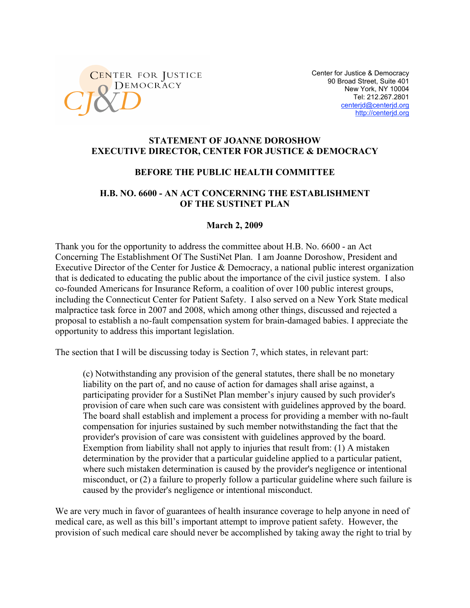

Center for Justice & Democracy 90 Broad Street, Suite 401 New York, NY 10004 Tel: 212.267.2801 centerjd@centerjd.org http://centerjd.org

#### **STATEMENT OF JOANNE DOROSHOW EXECUTIVE DIRECTOR, CENTER FOR JUSTICE & DEMOCRACY**

#### **BEFORE THE PUBLIC HEALTH COMMITTEE**

### **H.B. NO. 6600 - AN ACT CONCERNING THE ESTABLISHMENT OF THE SUSTINET PLAN**

#### **March 2, 2009**

Thank you for the opportunity to address the committee about H.B. No. 6600 - an Act Concerning The Establishment Of The SustiNet Plan. I am Joanne Doroshow, President and Executive Director of the Center for Justice & Democracy, a national public interest organization that is dedicated to educating the public about the importance of the civil justice system. I also co-founded Americans for Insurance Reform, a coalition of over 100 public interest groups, including the Connecticut Center for Patient Safety. I also served on a New York State medical malpractice task force in 2007 and 2008, which among other things, discussed and rejected a proposal to establish a no-fault compensation system for brain-damaged babies. I appreciate the opportunity to address this important legislation.

The section that I will be discussing today is Section 7, which states, in relevant part:

(c) Notwithstanding any provision of the general statutes, there shall be no monetary liability on the part of, and no cause of action for damages shall arise against, a participating provider for a SustiNet Plan member's injury caused by such provider's provision of care when such care was consistent with guidelines approved by the board. The board shall establish and implement a process for providing a member with no-fault compensation for injuries sustained by such member notwithstanding the fact that the provider's provision of care was consistent with guidelines approved by the board. Exemption from liability shall not apply to injuries that result from: (1) A mistaken determination by the provider that a particular guideline applied to a particular patient, where such mistaken determination is caused by the provider's negligence or intentional misconduct, or (2) a failure to properly follow a particular guideline where such failure is caused by the provider's negligence or intentional misconduct.

We are very much in favor of guarantees of health insurance coverage to help anyone in need of medical care, as well as this bill's important attempt to improve patient safety. However, the provision of such medical care should never be accomplished by taking away the right to trial by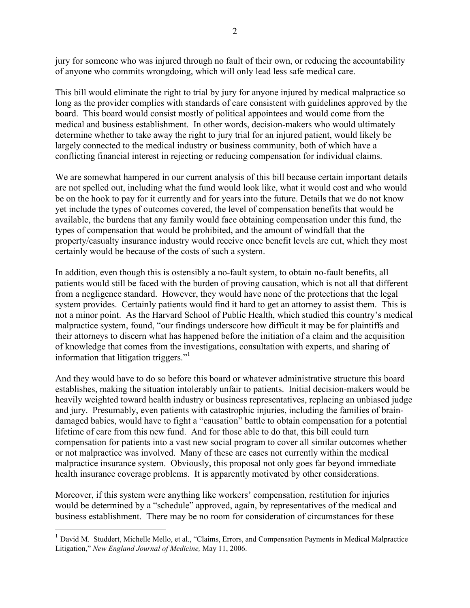jury for someone who was injured through no fault of their own, or reducing the accountability of anyone who commits wrongdoing, which will only lead less safe medical care.

This bill would eliminate the right to trial by jury for anyone injured by medical malpractice so long as the provider complies with standards of care consistent with guidelines approved by the board. This board would consist mostly of political appointees and would come from the medical and business establishment. In other words, decision-makers who would ultimately determine whether to take away the right to jury trial for an injured patient, would likely be largely connected to the medical industry or business community, both of which have a conflicting financial interest in rejecting or reducing compensation for individual claims.

We are somewhat hampered in our current analysis of this bill because certain important details are not spelled out, including what the fund would look like, what it would cost and who would be on the hook to pay for it currently and for years into the future. Details that we do not know yet include the types of outcomes covered, the level of compensation benefits that would be available, the burdens that any family would face obtaining compensation under this fund, the types of compensation that would be prohibited, and the amount of windfall that the property/casualty insurance industry would receive once benefit levels are cut, which they most certainly would be because of the costs of such a system.

In addition, even though this is ostensibly a no-fault system, to obtain no-fault benefits, all patients would still be faced with the burden of proving causation, which is not all that different from a negligence standard. However, they would have none of the protections that the legal system provides. Certainly patients would find it hard to get an attorney to assist them. This is not a minor point. As the Harvard School of Public Health, which studied this country's medical malpractice system, found, "our findings underscore how difficult it may be for plaintiffs and their attorneys to discern what has happened before the initiation of a claim and the acquisition of knowledge that comes from the investigations, consultation with experts, and sharing of information that litigation triggers."

And they would have to do so before this board or whatever administrative structure this board establishes, making the situation intolerably unfair to patients. Initial decision-makers would be heavily weighted toward health industry or business representatives, replacing an unbiased judge and jury. Presumably, even patients with catastrophic injuries, including the families of braindamaged babies, would have to fight a "causation" battle to obtain compensation for a potential lifetime of care from this new fund. And for those able to do that, this bill could turn compensation for patients into a vast new social program to cover all similar outcomes whether or not malpractice was involved. Many of these are cases not currently within the medical malpractice insurance system. Obviously, this proposal not only goes far beyond immediate health insurance coverage problems. It is apparently motivated by other considerations.

Moreover, if this system were anything like workers' compensation, restitution for injuries would be determined by a "schedule" approved, again, by representatives of the medical and business establishment. There may be no room for consideration of circumstances for these

<sup>&</sup>lt;sup>1</sup> David M. Studdert, Michelle Mello, et al., "Claims, Errors, and Compensation Payments in Medical Malpractice Litigation," *New England Journal of Medicine,* May 11, 2006.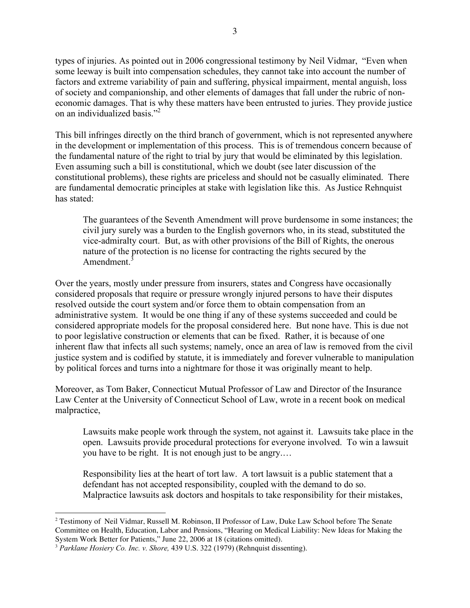types of injuries. As pointed out in 2006 congressional testimony by Neil Vidmar, "Even when some leeway is built into compensation schedules, they cannot take into account the number of factors and extreme variability of pain and suffering, physical impairment, mental anguish, loss of society and companionship, and other elements of damages that fall under the rubric of noneconomic damages. That is why these matters have been entrusted to juries. They provide justice on an individualized basis."2

This bill infringes directly on the third branch of government, which is not represented anywhere in the development or implementation of this process. This is of tremendous concern because of the fundamental nature of the right to trial by jury that would be eliminated by this legislation. Even assuming such a bill is constitutional, which we doubt (see later discussion of the constitutional problems), these rights are priceless and should not be casually eliminated. There are fundamental democratic principles at stake with legislation like this. As Justice Rehnquist has stated:

The guarantees of the Seventh Amendment will prove burdensome in some instances; the civil jury surely was a burden to the English governors who, in its stead, substituted the vice-admiralty court. But, as with other provisions of the Bill of Rights, the onerous nature of the protection is no license for contracting the rights secured by the Amendment.<sup>3</sup>

Over the years, mostly under pressure from insurers, states and Congress have occasionally considered proposals that require or pressure wrongly injured persons to have their disputes resolved outside the court system and/or force them to obtain compensation from an administrative system. It would be one thing if any of these systems succeeded and could be considered appropriate models for the proposal considered here. But none have. This is due not to poor legislative construction or elements that can be fixed. Rather, it is because of one inherent flaw that infects all such systems; namely, once an area of law is removed from the civil justice system and is codified by statute, it is immediately and forever vulnerable to manipulation by political forces and turns into a nightmare for those it was originally meant to help.

Moreover, as Tom Baker, Connecticut Mutual Professor of Law and Director of the Insurance Law Center at the University of Connecticut School of Law, wrote in a recent book on medical malpractice,

Lawsuits make people work through the system, not against it. Lawsuits take place in the open. Lawsuits provide procedural protections for everyone involved. To win a lawsuit you have to be right. It is not enough just to be angry.…

Responsibility lies at the heart of tort law. A tort lawsuit is a public statement that a defendant has not accepted responsibility, coupled with the demand to do so. Malpractice lawsuits ask doctors and hospitals to take responsibility for their mistakes,

<sup>2</sup> Testimony of Neil Vidmar, Russell M. Robinson, II Professor of Law, Duke Law School before The Senate Committee on Health, Education, Labor and Pensions, "Hearing on Medical Liability: New Ideas for Making the System Work Better for Patients," June 22, 2006 at 18 (citations omitted).

<sup>3</sup> *Parklane Hosiery Co. Inc. v. Shore,* 439 U.S. 322 (1979) (Rehnquist dissenting).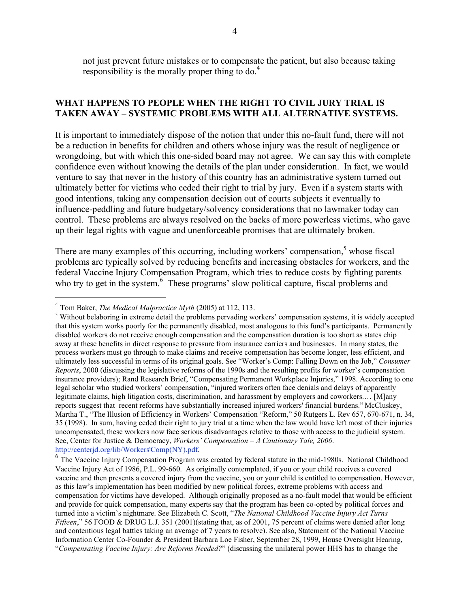not just prevent future mistakes or to compensate the patient, but also because taking responsibility is the morally proper thing to  $do<sup>4</sup>$ .

## **WHAT HAPPENS TO PEOPLE WHEN THE RIGHT TO CIVIL JURY TRIAL IS TAKEN AWAY – SYSTEMIC PROBLEMS WITH ALL ALTERNATIVE SYSTEMS.**

It is important to immediately dispose of the notion that under this no-fault fund, there will not be a reduction in benefits for children and others whose injury was the result of negligence or wrongdoing, but with which this one-sided board may not agree. We can say this with complete confidence even without knowing the details of the plan under consideration. In fact, we would venture to say that never in the history of this country has an administrative system turned out ultimately better for victims who ceded their right to trial by jury. Even if a system starts with good intentions, taking any compensation decision out of courts subjects it eventually to influence-peddling and future budgetary/solvency considerations that no lawmaker today can control. These problems are always resolved on the backs of more powerless victims, who gave up their legal rights with vague and unenforceable promises that are ultimately broken.

There are many examples of this occurring, including workers' compensation, $5$  whose fiscal problems are typically solved by reducing benefits and increasing obstacles for workers, and the federal Vaccine Injury Compensation Program, which tries to reduce costs by fighting parents who try to get in the system.<sup>6</sup> These programs' slow political capture, fiscal problems and

<sup>4</sup> Tom Baker, *The Medical Malpractice Myth* (2005) at 112, 113.

<sup>&</sup>lt;sup>5</sup> Without belaboring in extreme detail the problems pervading workers' compensation systems, it is widely accepted that this system works poorly for the permanently disabled, most analogous to this fund's participants. Permanently disabled workers do not receive enough compensation and the compensation duration is too short as states chip away at these benefits in direct response to pressure from insurance carriers and businesses. In many states, the process workers must go through to make claims and receive compensation has become longer, less efficient, and ultimately less successful in terms of its original goals. See "Worker's Comp: Falling Down on the Job," *Consumer Reports*, 2000 (discussing the legislative reforms of the 1990s and the resulting profits for worker's compensation insurance providers); Rand Research Brief, "Compensating Permanent Workplace Injuries," 1998. According to one legal scholar who studied workers' compensation, "injured workers often face denials and delays of apparently legitimate claims, high litigation costs, discrimination, and harassment by employers and coworkers.… [M]any reports suggest that recent reforms have substantially increased injured workers' financial burdens." McCluskey, Martha T., "The Illusion of Efficiency in Workers' Compensation "Reform," 50 Rutgers L. Rev 657, 670-671, n. 34, 35 (1998). In sum, having ceded their right to jury trial at a time when the law would have left most of their injuries uncompensated, these workers now face serious disadvantages relative to those with access to the judicial system. See, Center for Justice & Democracy, *Workers' Compensation – A Cautionary Tale, 2006*.

 $\frac{1}{6}$  The Vaccine Injury Compensation Program was created by federal statute in the mid-1980s. National Childhood Vaccine Injury Act of 1986, P.L. 99-660. As originally contemplated, if you or your child receives a covered vaccine and then presents a covered injury from the vaccine, you or your child is entitled to compensation. However, as this law's implementation has been modified by new political forces, extreme problems with access and compensation for victims have developed. Although originally proposed as a no-fault model that would be efficient and provide for quick compensation, many experts say that the program has been co-opted by political forces and turned into a victim's nightmare. See Elizabeth C. Scott, "*The National Childhood Vaccine Injury Act Turns Fifteen*," 56 FOOD & DRUG L.J. 351 (2001)(stating that, as of 2001, 75 percent of claims were denied after long and contentious legal battles taking an average of 7 years to resolve). See also, Statement of the National Vaccine Information Center Co-Founder & President Barbara Loe Fisher, September 28, 1999, House Oversight Hearing, "*Compensating Vaccine Injury: Are Reforms Needed?*" (discussing the unilateral power HHS has to change the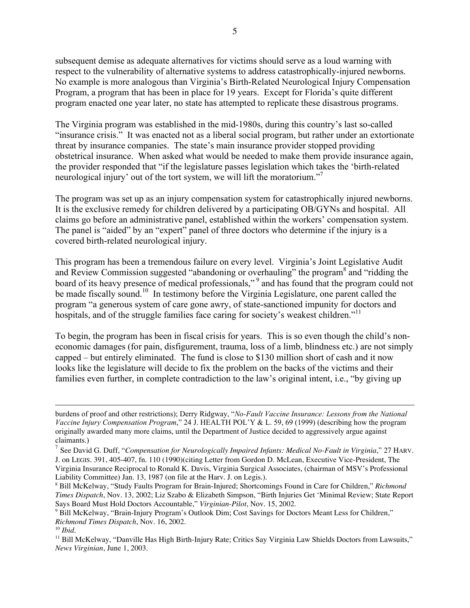subsequent demise as adequate alternatives for victims should serve as a loud warning with respect to the vulnerability of alternative systems to address catastrophically-injured newborns. No example is more analogous than Virginia's Birth-Related Neurological Injury Compensation Program, a program that has been in place for 19 years. Except for Florida's quite different program enacted one year later, no state has attempted to replicate these disastrous programs.

The Virginia program was established in the mid-1980s, during this country's last so-called "insurance crisis." It was enacted not as a liberal social program, but rather under an extortionate threat by insurance companies. The state's main insurance provider stopped providing obstetrical insurance. When asked what would be needed to make them provide insurance again, the provider responded that "if the legislature passes legislation which takes the 'birth-related neurological injury' out of the tort system, we will lift the moratorium."<sup>7</sup>

The program was set up as an injury compensation system for catastrophically injured newborns. It is the exclusive remedy for children delivered by a participating OB/GYNs and hospital. All claims go before an administrative panel, established within the workers' compensation system. The panel is "aided" by an "expert" panel of three doctors who determine if the injury is a covered birth-related neurological injury.

This program has been a tremendous failure on every level. Virginia's Joint Legislative Audit and Review Commission suggested "abandoning or overhauling" the program<sup>8</sup> and "ridding the board of its heavy presence of medical professionals,"<sup>9</sup> and has found that the program could not be made fiscally sound.<sup>10</sup> In testimony before the Virginia Legislature, one parent called the program "a generous system of care gone awry, of state-sanctioned impunity for doctors and hospitals, and of the struggle families face caring for society's weakest children."<sup>11</sup>

To begin, the program has been in fiscal crisis for years. This is so even though the child's noneconomic damages (for pain, disfigurement, trauma, loss of a limb, blindness etc.) are not simply capped – but entirely eliminated. The fund is close to \$130 million short of cash and it now looks like the legislature will decide to fix the problem on the backs of the victims and their families even further, in complete contradiction to the law's original intent, i.e., "by giving up

burdens of proof and other restrictions); Derry Ridgway, "*No-Fault Vaccine Insurance: Lessons from the National Vaccine Injury Compensation Program*," 24 J. HEALTH POL'Y & L. 59, 69 (1999) (describing how the program originally awarded many more claims, until the Department of Justice decided to aggressively argue against claimants.)

<sup>7</sup> See David G. Duff, "*Compensation for Neurologically Impaired Infants: Medical No-Fault in Virginia*," 27 HARV. J. on LEGIS. 391, 405-407, fn. 110 (1990)(citing Letter from Gordon D. McLean, Executive Vice-President, The Virginia Insurance Reciprocal to Ronald K. Davis, Virginia Surgical Associates, (chairman of MSV's Professional Liability Committee) Jan. 13, 1987 (on file at the Harv. J. on Legis.).

<sup>8</sup> Bill McKelway, "Study Faults Program for Brain-Injured; Shortcomings Found in Care for Children," *Richmond Times Dispatch*, Nov. 13, 2002; Liz Szabo & Elizabeth Simpson, "Birth Injuries Get 'Minimal Review; State Report Says Board Must Hold Doctors Accountable," *Virginian-Pilot*, Nov. 15, 2002.

<sup>&</sup>lt;sup>9</sup> Bill McKelway, "Brain-Injury Program's Outlook Dim; Cost Savings for Doctors Meant Less for Children," *Richmond Times Dispatch*, Nov. 16, 2002.

<sup>10</sup> *Ibid.*

<sup>&</sup>lt;sup>11</sup> Bill McKelway, "Danville Has High Birth-Injury Rate; Critics Say Virginia Law Shields Doctors from Lawsuits," *News Virginian*, June 1, 2003.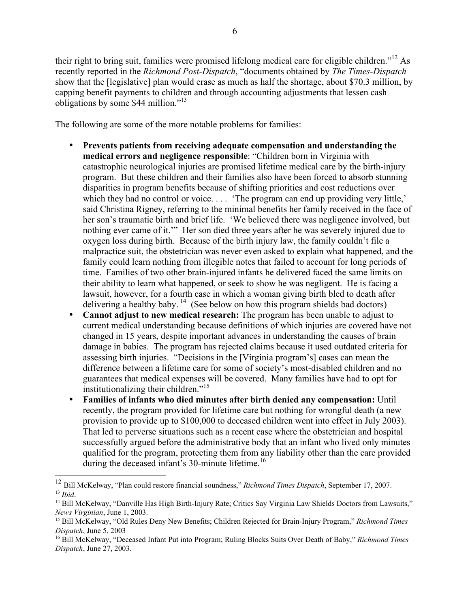their right to bring suit, families were promised lifelong medical care for eligible children."<sup>12</sup> As recently reported in the *Richmond Post-Dispatch*, "documents obtained by *The Times-Dispatch* show that the [legislative] plan would erase as much as half the shortage, about \$70.3 million, by capping benefit payments to children and through accounting adjustments that lessen cash obligations by some \$44 million."13

The following are some of the more notable problems for families:

- **Prevents patients from receiving adequate compensation and understanding the medical errors and negligence responsible**: "Children born in Virginia with catastrophic neurological injuries are promised lifetime medical care by the birth-injury program. But these children and their families also have been forced to absorb stunning disparities in program benefits because of shifting priorities and cost reductions over which they had no control or voice. . . . 'The program can end up providing very little,' said Christina Rigney, referring to the minimal benefits her family received in the face of her son's traumatic birth and brief life. 'We believed there was negligence involved, but nothing ever came of it.'" Her son died three years after he was severely injured due to oxygen loss during birth. Because of the birth injury law, the family couldn't file a malpractice suit, the obstetrician was never even asked to explain what happened, and the family could learn nothing from illegible notes that failed to account for long periods of time. Families of two other brain-injured infants he delivered faced the same limits on their ability to learn what happened, or seek to show he was negligent. He is facing a lawsuit, however, for a fourth case in which a woman giving birth bled to death after delivering a healthy baby.<sup>14</sup> (See below on how this program shields bad doctors)
- **Cannot adjust to new medical research:** The program has been unable to adjust to current medical understanding because definitions of which injuries are covered have not changed in 15 years, despite important advances in understanding the causes of brain damage in babies. The program has rejected claims because it used outdated criteria for assessing birth injuries. "Decisions in the [Virginia program's] cases can mean the difference between a lifetime care for some of society's most-disabled children and no guarantees that medical expenses will be covered. Many families have had to opt for institutionalizing their children."<sup>15</sup>
- **Families of infants who died minutes after birth denied any compensation:** Until recently, the program provided for lifetime care but nothing for wrongful death (a new provision to provide up to \$100,000 to deceased children went into effect in July 2003). That led to perverse situations such as a recent case where the obstetrician and hospital successfully argued before the administrative body that an infant who lived only minutes qualified for the program, protecting them from any liability other than the care provided during the deceased infant's 30-minute lifetime.<sup>16</sup>

 <sup>12</sup> Bill McKelway, "Plan could restore financial soundness," *Richmond Times Dispatch*, September 17, 2007. <sup>13</sup> *Ibid.*

<sup>&</sup>lt;sup>14</sup> Bill McKelway, "Danville Has High Birth-Injury Rate; Critics Say Virginia Law Shields Doctors from Lawsuits," *News Virginian*, June 1, 2003.

<sup>15</sup> Bill McKelway, "Old Rules Deny New Benefits; Children Rejected for Brain-Injury Program," *Richmond Times Dispatch*, June 5, 2003

<sup>16</sup> Bill McKelway, "Deceased Infant Put into Program; Ruling Blocks Suits Over Death of Baby," *Richmond Times Dispatch*, June 27, 2003.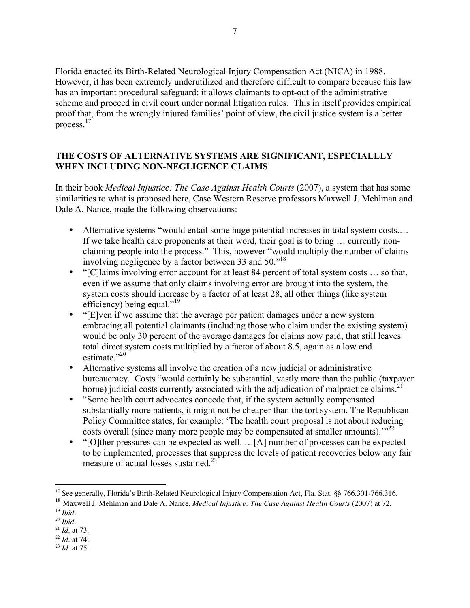Florida enacted its Birth-Related Neurological Injury Compensation Act (NICA) in 1988. However, it has been extremely underutilized and therefore difficult to compare because this law has an important procedural safeguard: it allows claimants to opt-out of the administrative scheme and proceed in civil court under normal litigation rules. This in itself provides empirical proof that, from the wrongly injured families' point of view, the civil justice system is a better process.<sup>17</sup>

# **THE COSTS OF ALTERNATIVE SYSTEMS ARE SIGNIFICANT, ESPECIALLLY WHEN INCLUDING NON-NEGLIGENCE CLAIMS**

In their book *Medical Injustice: The Case Against Health Courts* (2007), a system that has some similarities to what is proposed here, Case Western Reserve professors Maxwell J. Mehlman and Dale A. Nance, made the following observations:

- Alternative systems "would entail some huge potential increases in total system costs.... If we take health care proponents at their word, their goal is to bring … currently nonclaiming people into the process." This, however "would multiply the number of claims involving negligence by a factor between 33 and 50."18
- "[C]laims involving error account for at least 84 percent of total system costs … so that, even if we assume that only claims involving error are brought into the system, the system costs should increase by a factor of at least 28, all other things (like system efficiency) being equal."<sup>19</sup>
- "[E]ven if we assume that the average per patient damages under a new system embracing all potential claimants (including those who claim under the existing system) would be only 30 percent of the average damages for claims now paid, that still leaves total direct system costs multiplied by a factor of about 8.5, again as a low end estimate<sup>"20</sup>
- Alternative systems all involve the creation of a new judicial or administrative bureaucracy. Costs "would certainly be substantial, vastly more than the public (taxpayer borne) judicial costs currently associated with the adjudication of malpractice claims.<sup>21</sup>
- "Some health court advocates concede that, if the system actually compensated substantially more patients, it might not be cheaper than the tort system. The Republican Policy Committee states, for example: 'The health court proposal is not about reducing costs overall (since many more people may be compensated at smaller amounts)."<sup>22</sup>
- "[O]ther pressures can be expected as well. …[A] number of processes can be expected to be implemented, processes that suppress the levels of patient recoveries below any fair measure of actual losses sustained.<sup>23</sup>

<sup>18</sup> Maxwell J. Mehlman and Dale A. Nance, *Medical Injustice: The Case Against Health Courts* (2007) at 72. <sup>19</sup> *Ibid.*

<sup>&</sup>lt;sup>17</sup> See generally, Florida's Birth-Related Neurological Injury Compensation Act, Fla. Stat. §§ 766.301-766.316.

*<sup>20</sup> Ibid.*

<sup>21</sup> *Id.* at 73.

<sup>22</sup> *Id.* at 74.

<sup>23</sup> *Id.* at 75.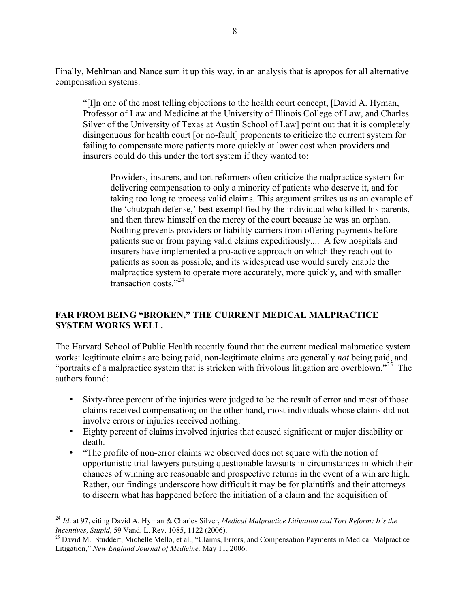Finally, Mehlman and Nance sum it up this way, in an analysis that is apropos for all alternative compensation systems:

"[I]n one of the most telling objections to the health court concept, [David A. Hyman, Professor of Law and Medicine at the University of Illinois College of Law, and Charles Silver of the University of Texas at Austin School of Law] point out that it is completely disingenuous for health court [or no-fault] proponents to criticize the current system for failing to compensate more patients more quickly at lower cost when providers and insurers could do this under the tort system if they wanted to:

Providers, insurers, and tort reformers often criticize the malpractice system for delivering compensation to only a minority of patients who deserve it, and for taking too long to process valid claims. This argument strikes us as an example of the 'chutzpah defense,' best exemplified by the individual who killed his parents, and then threw himself on the mercy of the court because he was an orphan. Nothing prevents providers or liability carriers from offering payments before patients sue or from paying valid claims expeditiously.... A few hospitals and insurers have implemented a pro-active approach on which they reach out to patients as soon as possible, and its widespread use would surely enable the malpractice system to operate more accurately, more quickly, and with smaller transaction costs."<sup>24</sup>

# **FAR FROM BEING "BROKEN," THE CURRENT MEDICAL MALPRACTICE SYSTEM WORKS WELL.**

The Harvard School of Public Health recently found that the current medical malpractice system works: legitimate claims are being paid, non-legitimate claims are generally *not* being paid, and "portraits of a malpractice system that is stricken with frivolous litigation are overblown."<sup>25</sup> The authors found:

- Sixty-three percent of the injuries were judged to be the result of error and most of those claims received compensation; on the other hand, most individuals whose claims did not involve errors or injuries received nothing.
- Eighty percent of claims involved injuries that caused significant or major disability or death.
- "The profile of non-error claims we observed does not square with the notion of opportunistic trial lawyers pursuing questionable lawsuits in circumstances in which their chances of winning are reasonable and prospective returns in the event of a win are high. Rather, our findings underscore how difficult it may be for plaintiffs and their attorneys to discern what has happened before the initiation of a claim and the acquisition of

<sup>24</sup> *Id.* at 97, citing David A. Hyman & Charles Silver, *Medical Malpractice Litigation and Tort Reform: It's the Incentives, Stupid*, 59 Vand. L. Rev. 1085, 1122 (2006).

<sup>&</sup>lt;sup>25</sup> David M. Studdert, Michelle Mello, et al., "Claims, Errors, and Compensation Payments in Medical Malpractice Litigation," *New England Journal of Medicine,* May 11, 2006.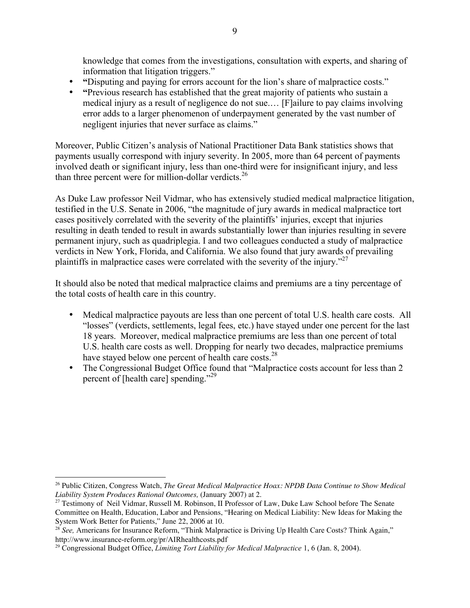knowledge that comes from the investigations, consultation with experts, and sharing of information that litigation triggers."

- **"**Disputing and paying for errors account for the lion's share of malpractice costs."
- **"**Previous research has established that the great majority of patients who sustain a medical injury as a result of negligence do not sue.… [F]ailure to pay claims involving error adds to a larger phenomenon of underpayment generated by the vast number of negligent injuries that never surface as claims."

Moreover, Public Citizen's analysis of National Practitioner Data Bank statistics shows that payments usually correspond with injury severity. In 2005, more than 64 percent of payments involved death or significant injury, less than one-third were for insignificant injury, and less than three percent were for million-dollar verdicts.<sup>26</sup>

As Duke Law professor Neil Vidmar, who has extensively studied medical malpractice litigation, testified in the U.S. Senate in 2006, "the magnitude of jury awards in medical malpractice tort cases positively correlated with the severity of the plaintiffs' injuries, except that injuries resulting in death tended to result in awards substantially lower than injuries resulting in severe permanent injury, such as quadriplegia. I and two colleagues conducted a study of malpractice verdicts in New York, Florida, and California. We also found that jury awards of prevailing plaintiffs in malpractice cases were correlated with the severity of the injury."<sup>27</sup>

It should also be noted that medical malpractice claims and premiums are a tiny percentage of the total costs of health care in this country.

- Medical malpractice payouts are less than one percent of total U.S. health care costs. All "losses" (verdicts, settlements, legal fees, etc.) have stayed under one percent for the last 18 years. Moreover, medical malpractice premiums are less than one percent of total U.S. health care costs as well. Dropping for nearly two decades, malpractice premiums have stayed below one percent of health care costs.<sup>28</sup>
- The Congressional Budget Office found that "Malpractice costs account for less than 2 percent of [health care] spending."<sup>29</sup>

<sup>26</sup> Public Citizen, Congress Watch, *The Great Medical Malpractice Hoax: NPDB Data Continue to Show Medical Liability System Produces Rational Outcomes,* (January 2007) at 2.

<sup>&</sup>lt;sup>27</sup> Testimony of Neil Vidmar, Russell M. Robinson, II Professor of Law, Duke Law School before The Senate Committee on Health, Education, Labor and Pensions, "Hearing on Medical Liability: New Ideas for Making the System Work Better for Patients," June 22, 2006 at 10.

<sup>&</sup>lt;sup>28</sup> See, Americans for Insurance Reform, "Think Malpractice is Driving Up Health Care Costs? Think Again," http://www.insurance-reform.org/pr/AIRhealthcosts.pdf

<sup>29</sup> Congressional Budget Office, *Limiting Tort Liability for Medical Malpractice* 1, 6 (Jan. 8, 2004).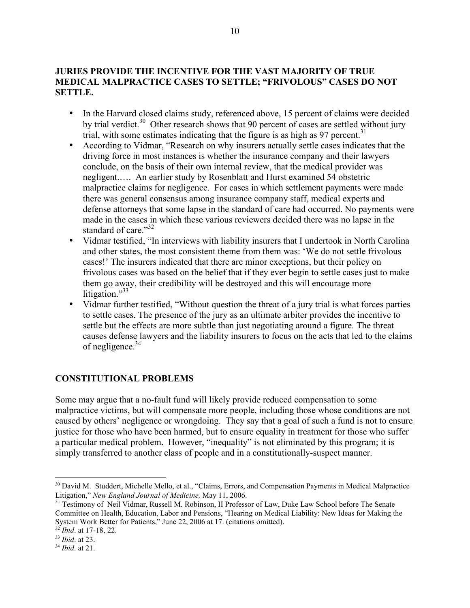## **JURIES PROVIDE THE INCENTIVE FOR THE VAST MAJORITY OF TRUE MEDICAL MALPRACTICE CASES TO SETTLE; "FRIVOLOUS" CASES DO NOT SETTLE.**

- In the Harvard closed claims study, referenced above, 15 percent of claims were decided by trial verdict.<sup>30</sup> Other research shows that 90 percent of cases are settled without jury trial, with some estimates indicating that the figure is as high as 97 percent.<sup>31</sup>
- According to Vidmar, "Research on why insurers actually settle cases indicates that the driving force in most instances is whether the insurance company and their lawyers conclude, on the basis of their own internal review, that the medical provider was negligent.…. An earlier study by Rosenblatt and Hurst examined 54 obstetric malpractice claims for negligence. For cases in which settlement payments were made there was general consensus among insurance company staff, medical experts and defense attorneys that some lapse in the standard of care had occurred. No payments were made in the cases in which these various reviewers decided there was no lapse in the standard of care."<sup>32</sup>
- Vidmar testified, "In interviews with liability insurers that I undertook in North Carolina and other states, the most consistent theme from them was: 'We do not settle frivolous cases!' The insurers indicated that there are minor exceptions, but their policy on frivolous cases was based on the belief that if they ever begin to settle cases just to make them go away, their credibility will be destroyed and this will encourage more litigation."<sup>33</sup>
- Vidmar further testified, "Without question the threat of a jury trial is what forces parties to settle cases. The presence of the jury as an ultimate arbiter provides the incentive to settle but the effects are more subtle than just negotiating around a figure. The threat causes defense lawyers and the liability insurers to focus on the acts that led to the claims of negligence.<sup>34</sup>

## **CONSTITUTIONAL PROBLEMS**

Some may argue that a no-fault fund will likely provide reduced compensation to some malpractice victims, but will compensate more people, including those whose conditions are not caused by others' negligence or wrongdoing. They say that a goal of such a fund is not to ensure justice for those who have been harmed, but to ensure equality in treatment for those who suffer a particular medical problem. However, "inequality" is not eliminated by this program; it is simply transferred to another class of people and in a constitutionally-suspect manner.

<sup>&</sup>lt;sup>30</sup> David M. Studdert, Michelle Mello, et al., "Claims, Errors, and Compensation Payments in Medical Malpractice Litigation," *New England Journal of Medicine*, May 11, 2006.<br><sup>31</sup> Testimony of Neil Vidmar, Russell M. Robinson, II Professor of Law, Duke Law School before The Senate

Committee on Health, Education, Labor and Pensions, "Hearing on Medical Liability: New Ideas for Making the System Work Better for Patients," June 22, 2006 at 17. (citations omitted).

<sup>32</sup> *Ibid*. at 17-18, 22.

<sup>33</sup> *Ibid*. at 23.

<sup>34</sup> *Ibid.* at 21.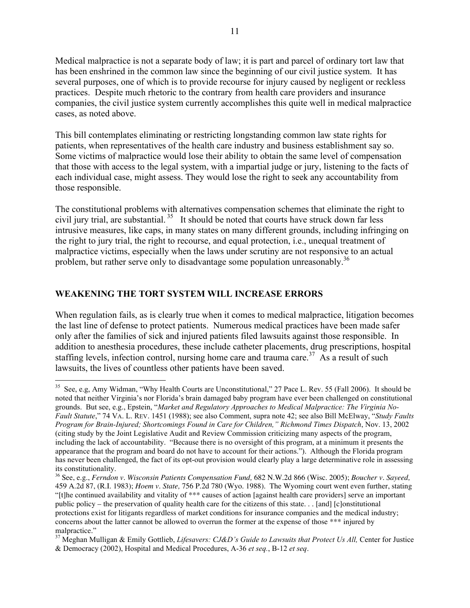Medical malpractice is not a separate body of law; it is part and parcel of ordinary tort law that has been enshrined in the common law since the beginning of our civil justice system. It has several purposes, one of which is to provide recourse for injury caused by negligent or reckless practices. Despite much rhetoric to the contrary from health care providers and insurance companies, the civil justice system currently accomplishes this quite well in medical malpractice cases, as noted above.

This bill contemplates eliminating or restricting longstanding common law state rights for patients, when representatives of the health care industry and business establishment say so. Some victims of malpractice would lose their ability to obtain the same level of compensation that those with access to the legal system, with a impartial judge or jury, listening to the facts of each individual case, might assess. They would lose the right to seek any accountability from those responsible.

The constitutional problems with alternatives compensation schemes that eliminate the right to civil jury trial, are substantial.<sup>35</sup> It should be noted that courts have struck down far less intrusive measures, like caps, in many states on many different grounds, including infringing on the right to jury trial, the right to recourse, and equal protection, i.e., unequal treatment of malpractice victims, especially when the laws under scrutiny are not responsive to an actual problem, but rather serve only to disadvantage some population unreasonably.<sup>36</sup>

## **WEAKENING THE TORT SYSTEM WILL INCREASE ERRORS**

When regulation fails, as is clearly true when it comes to medical malpractice, litigation becomes the last line of defense to protect patients. Numerous medical practices have been made safer only after the families of sick and injured patients filed lawsuits against those responsible. In addition to anesthesia procedures, these include catheter placements, drug prescriptions, hospital staffing levels, infection control, nursing home care and trauma care.<sup>37</sup> As a result of such lawsuits, the lives of countless other patients have been saved.

 <sup>35</sup> See, e.g, Amy Widman, "Why Health Courts are Unconstitutional," <sup>27</sup> Pace L. Rev. <sup>55</sup> (Fall 2006). It should be noted that neither Virginia's nor Florida's brain damaged baby program have ever been challenged on constitutional grounds. But see, e.g., Epstein, "*Market and Regulatory Approaches to Medical Malpractice: The Virginia No-Fault Statute*," 74 VA. L. REV. 1451 (1988); see also Comment, supra note 42; see also Bill McElway, "*Study Faults Program for Brain-Injured; Shortcomings Found in Care for Children," Richmond Times Dispatch*, Nov. 13, 2002 (citing study by the Joint Legislative Audit and Review Commission criticizing many aspects of the program, including the lack of accountability. "Because there is no oversight of this program, at a minimum it presents the appearance that the program and board do not have to account for their actions."). Although the Florida program has never been challenged, the fact of its opt-out provision would clearly play a large determinative role in assessing its constitutionality.

<sup>36</sup> See, e.g., *Ferndon v. Wisconsin Patients Compensation Fund,* 682 N.W.2d 866 (Wisc. 2005); *Boucher v. Sayeed,* 459 A.2d 87, (R.I. 1983); *Hoem v. State,* 756 P.2d 780 (Wyo. 1988). The Wyoming court went even further, stating "[t]he continued availability and vitality of \*\*\* causes of action [against health care providers] serve an important public policy – the preservation of quality health care for the citizens of this state. . . [and] [c]onstitutional protections exist for litigants regardless of market conditions for insurance companies and the medical industry; concerns about the latter cannot be allowed to overrun the former at the expense of those \*\*\* injured by malpractice." <sup>37</sup> Meghan Mulligan & Emily Gottlieb, *Lifesavers: CJ&D's Guide to Lawsuits that Protect Us All,* Center for Justice

<sup>&</sup>amp; Democracy (2002), Hospital and Medical Procedures, A-36 *et seq.*, B-12 *et seq*.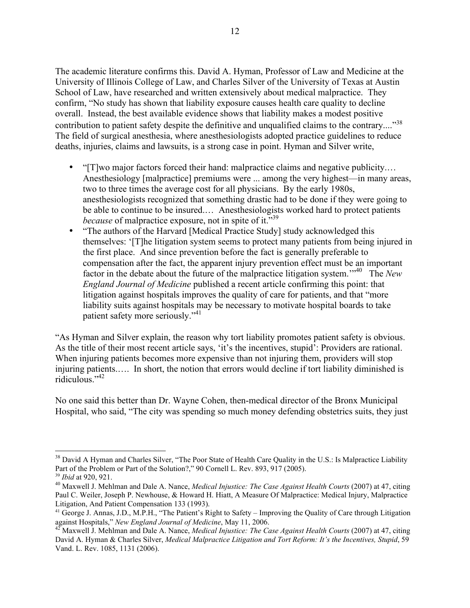The academic literature confirms this. David A. Hyman, Professor of Law and Medicine at the University of Illinois College of Law, and Charles Silver of the University of Texas at Austin School of Law, have researched and written extensively about medical malpractice. They confirm, "No study has shown that liability exposure causes health care quality to decline overall. Instead, the best available evidence shows that liability makes a modest positive contribution to patient safety despite the definitive and unqualified claims to the contrary...."<sup>38</sup> The field of surgical anesthesia, where anesthesiologists adopted practice guidelines to reduce deaths, injuries, claims and lawsuits, is a strong case in point. Hyman and Silver write,

- "[T]wo major factors forced their hand: malpractice claims and negative publicity.... Anesthesiology [malpractice] premiums were ... among the very highest—in many areas, two to three times the average cost for all physicians. By the early 1980s, anesthesiologists recognized that something drastic had to be done if they were going to be able to continue to be insured.… Anesthesiologists worked hard to protect patients *because* of malpractice exposure, not in spite of it.<sup>339</sup>
- "The authors of the Harvard [Medical Practice Study] study acknowledged this themselves: '[T]he litigation system seems to protect many patients from being injured in the first place. And since prevention before the fact is generally preferable to compensation after the fact, the apparent injury prevention effect must be an important factor in the debate about the future of the malpractice litigation system.<sup>"40</sup> The New *England Journal of Medicine* published a recent article confirming this point: that litigation against hospitals improves the quality of care for patients, and that "more liability suits against hospitals may be necessary to motivate hospital boards to take patient safety more seriously."<sup>41</sup>

"As Hyman and Silver explain, the reason why tort liability promotes patient safety is obvious. As the title of their most recent article says, 'it's the incentives, stupid': Providers are rational. When injuring patients becomes more expensive than not injuring them, providers will stop injuring patients.…. In short, the notion that errors would decline if tort liability diminished is ridiculous<sup>"42</sup>

No one said this better than Dr. Wayne Cohen, then-medical director of the Bronx Municipal Hospital, who said, "The city was spending so much money defending obstetrics suits, they just

<sup>&</sup>lt;sup>38</sup> David A Hyman and Charles Silver, "The Poor State of Health Care Quality in the U.S.: Is Malpractice Liability Part of the Problem or Part of the Solution?," 90 Cornell L. Rev. 893, 917 (2005).

<sup>39</sup> *Ibid* at 920, 921.

<sup>40</sup> Maxwell J. Mehlman and Dale A. Nance, *Medical Injustice: The Case Against Health Courts* (2007) at 47, citing Paul C. Weiler, Joseph P. Newhouse, & Howard H. Hiatt, A Measure Of Malpractice: Medical Injury, Malpractice Litigation, And Patient Compensation 133 (1993).

<sup>41</sup> George J. Annas, J.D., M.P.H., "The Patient's Right to Safety – Improving the Quality of Care through Litigation against Hospitals," New England Journal of Medicine, May 11, 2006.<br><sup>42</sup> Maxwell J. Mehlman and Dale A. Nance, *Medical Injustice: The Case Against Health Courts* (2007) at 47, citing

David A. Hyman & Charles Silver, *Medical Malpractice Litigation and Tort Reform: It's the Incentives, Stupid*, 59 Vand. L. Rev. 1085, 1131 (2006).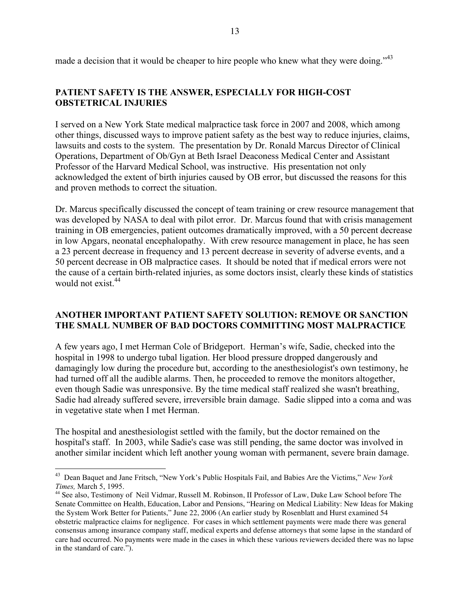made a decision that it would be cheaper to hire people who knew what they were doing."<sup>43</sup>

### **PATIENT SAFETY IS THE ANSWER, ESPECIALLY FOR HIGH-COST OBSTETRICAL INJURIES**

I served on a New York State medical malpractice task force in 2007 and 2008, which among other things, discussed ways to improve patient safety as the best way to reduce injuries, claims, lawsuits and costs to the system. The presentation by Dr. Ronald Marcus Director of Clinical Operations, Department of Ob/Gyn at Beth Israel Deaconess Medical Center and Assistant Professor of the Harvard Medical School, was instructive. His presentation not only acknowledged the extent of birth injuries caused by OB error, but discussed the reasons for this and proven methods to correct the situation.

Dr. Marcus specifically discussed the concept of team training or crew resource management that was developed by NASA to deal with pilot error. Dr. Marcus found that with crisis management training in OB emergencies, patient outcomes dramatically improved, with a 50 percent decrease in low Apgars, neonatal encephalopathy. With crew resource management in place, he has seen a 23 percent decrease in frequency and 13 percent decrease in severity of adverse events, and a 50 percent decrease in OB malpractice cases. It should be noted that if medical errors were not the cause of a certain birth-related injuries, as some doctors insist, clearly these kinds of statistics would not exist. 44

#### **ANOTHER IMPORTANT PATIENT SAFETY SOLUTION: REMOVE OR SANCTION THE SMALL NUMBER OF BAD DOCTORS COMMITTING MOST MALPRACTICE**

A few years ago, I met Herman Cole of Bridgeport. Herman's wife, Sadie, checked into the hospital in 1998 to undergo tubal ligation. Her blood pressure dropped dangerously and damagingly low during the procedure but, according to the anesthesiologist's own testimony, he had turned off all the audible alarms. Then, he proceeded to remove the monitors altogether, even though Sadie was unresponsive. By the time medical staff realized she wasn't breathing, Sadie had already suffered severe, irreversible brain damage. Sadie slipped into a coma and was in vegetative state when I met Herman.

The hospital and anesthesiologist settled with the family, but the doctor remained on the hospital's staff. In 2003, while Sadie's case was still pending, the same doctor was involved in another similar incident which left another young woman with permanent, severe brain damage.

 <sup>43</sup> Dean Baquet and Jane Fritsch, "New York's Public Hospitals Fail, and Babies Are the Victims," *New York Times,* March 5, 1995.

<sup>44</sup> See also, Testimony of Neil Vidmar, Russell M. Robinson, II Professor of Law, Duke Law School before The Senate Committee on Health, Education, Labor and Pensions, "Hearing on Medical Liability: New Ideas for Making the System Work Better for Patients," June 22, 2006 (An earlier study by Rosenblatt and Hurst examined 54 obstetric malpractice claims for negligence. For cases in which settlement payments were made there was general consensus among insurance company staff, medical experts and defense attorneys that some lapse in the standard of care had occurred. No payments were made in the cases in which these various reviewers decided there was no lapse in the standard of care.").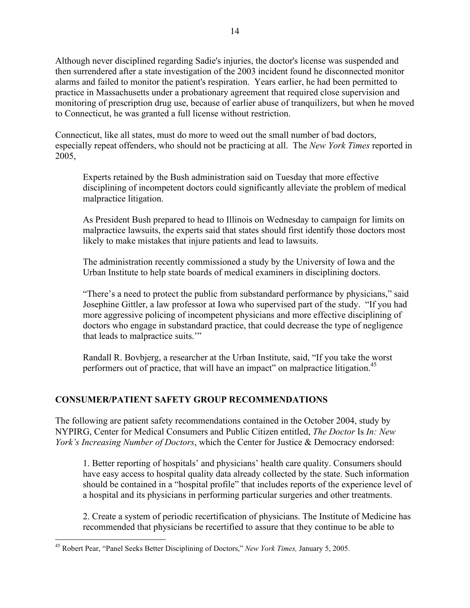Although never disciplined regarding Sadie's injuries, the doctor's license was suspended and then surrendered after a state investigation of the 2003 incident found he disconnected monitor alarms and failed to monitor the patient's respiration. Years earlier, he had been permitted to practice in Massachusetts under a probationary agreement that required close supervision and monitoring of prescription drug use, because of earlier abuse of tranquilizers, but when he moved to Connecticut, he was granted a full license without restriction.

Connecticut, like all states, must do more to weed out the small number of bad doctors, especially repeat offenders, who should not be practicing at all. The *New York Times* reported in 2005,

Experts retained by the Bush administration said on Tuesday that more effective disciplining of incompetent doctors could significantly alleviate the problem of medical malpractice litigation.

As President Bush prepared to head to Illinois on Wednesday to campaign for limits on malpractice lawsuits, the experts said that states should first identify those doctors most likely to make mistakes that injure patients and lead to lawsuits.

The administration recently commissioned a study by the University of Iowa and the Urban Institute to help state boards of medical examiners in disciplining doctors.

"There's a need to protect the public from substandard performance by physicians," said Josephine Gittler, a law professor at Iowa who supervised part of the study. "If you had more aggressive policing of incompetent physicians and more effective disciplining of doctors who engage in substandard practice, that could decrease the type of negligence that leads to malpractice suits.'"

Randall R. Bovbjerg, a researcher at the Urban Institute, said, "If you take the worst performers out of practice, that will have an impact" on malpractice litigation.<sup>45</sup>

# **CONSUMER/PATIENT SAFETY GROUP RECOMMENDATIONS**

The following are patient safety recommendations contained in the October 2004, study by NYPIRG, Center for Medical Consumers and Public Citizen entitled, *The Doctor* Is *In: New York's Increasing Number of Doctors*, which the Center for Justice & Democracy endorsed:

1. Better reporting of hospitals' and physicians' health care quality. Consumers should have easy access to hospital quality data already collected by the state. Such information should be contained in a "hospital profile" that includes reports of the experience level of a hospital and its physicians in performing particular surgeries and other treatments.

2. Create a system of periodic recertification of physicians. The Institute of Medicine has recommended that physicians be recertified to assure that they continue to be able to

 <sup>45</sup> Robert Pear, "Panel Seeks Better Disciplining of Doctors," *New York Times,* January 5, 2005.